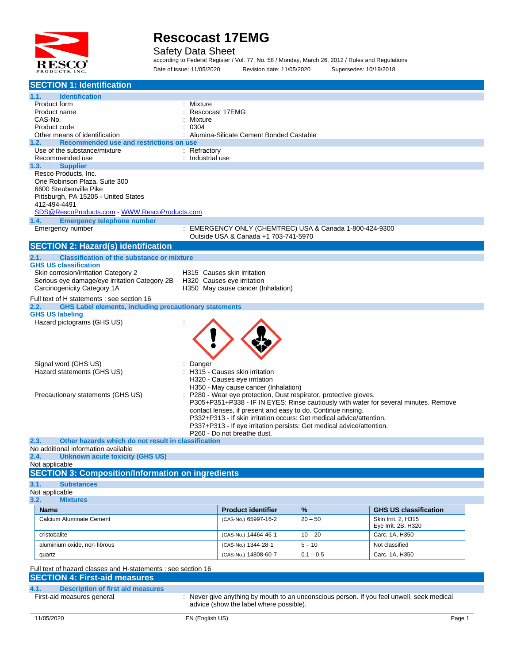

Safety Data Sheet

according to Federal Register / Vol. 77, No. 58 / Monday, March 26, 2012 / Rules and Regulations Date of issue: 11/05/2020 Revision date: 11/05/2020 Supersedes: 10/19/2018

| <b>SECTION 1: Identification</b>                                                      |                                                                                                                                      |             |                              |
|---------------------------------------------------------------------------------------|--------------------------------------------------------------------------------------------------------------------------------------|-------------|------------------------------|
| 1.1.<br><b>Identification</b>                                                         |                                                                                                                                      |             |                              |
| Product form                                                                          | Mixture                                                                                                                              |             |                              |
| Product name                                                                          | Rescocast 17EMG                                                                                                                      |             |                              |
| CAS-No.                                                                               | Mixture                                                                                                                              |             |                              |
| Product code<br>Other means of identification                                         | 0304<br>: Alumina-Silicate Cement Bonded Castable                                                                                    |             |                              |
| Recommended use and restrictions on use<br>1.2.                                       |                                                                                                                                      |             |                              |
| Use of the substance/mixture                                                          | : Refractory                                                                                                                         |             |                              |
| Recommended use                                                                       | : Industrial use                                                                                                                     |             |                              |
| <b>Supplier</b><br>1.3.                                                               |                                                                                                                                      |             |                              |
| Resco Products, Inc.                                                                  |                                                                                                                                      |             |                              |
| One Robinson Plaza, Suite 300<br>6600 Steubenville Pike                               |                                                                                                                                      |             |                              |
| Pittsburgh, PA 15205 - United States                                                  |                                                                                                                                      |             |                              |
| 412-494-4491                                                                          |                                                                                                                                      |             |                              |
| SDS@RescoProducts.com WWW.RescoProducts.com                                           |                                                                                                                                      |             |                              |
| 1.4.<br><b>Emergency telephone number</b>                                             |                                                                                                                                      |             |                              |
| Emergency number                                                                      | : EMERGENCY ONLY (CHEMTREC) USA & Canada 1-800-424-9300                                                                              |             |                              |
|                                                                                       | Outside USA & Canada +1 703-741-5970                                                                                                 |             |                              |
| <b>SECTION 2: Hazard(s) identification</b>                                            |                                                                                                                                      |             |                              |
| <b>Classification of the substance or mixture</b><br>2.1.                             |                                                                                                                                      |             |                              |
| <b>GHS US classification</b>                                                          |                                                                                                                                      |             |                              |
| Skin corrosion/irritation Category 2<br>Serious eye damage/eye irritation Category 2B | H315 Causes skin irritation<br>H320 Causes eye irritation                                                                            |             |                              |
| Carcinogenicity Category 1A                                                           | H350 May cause cancer (Inhalation)                                                                                                   |             |                              |
| Full text of H statements : see section 16                                            |                                                                                                                                      |             |                              |
| <b>GHS Label elements, including precautionary statements</b><br>2.2.                 |                                                                                                                                      |             |                              |
| <b>GHS US labeling</b>                                                                |                                                                                                                                      |             |                              |
| Hazard pictograms (GHS US)                                                            |                                                                                                                                      |             |                              |
|                                                                                       |                                                                                                                                      |             |                              |
|                                                                                       |                                                                                                                                      |             |                              |
|                                                                                       |                                                                                                                                      |             |                              |
| Signal word (GHS US)                                                                  |                                                                                                                                      |             |                              |
| Hazard statements (GHS US)                                                            | Danger<br>H315 - Causes skin irritation                                                                                              |             |                              |
|                                                                                       | H320 - Causes eye irritation                                                                                                         |             |                              |
|                                                                                       | H350 - May cause cancer (Inhalation)                                                                                                 |             |                              |
| Precautionary statements (GHS US)                                                     | P280 - Wear eye protection, Dust respirator, protective gloves.                                                                      |             |                              |
|                                                                                       | P305+P351+P338 - IF IN EYES: Rinse cautiously with water for several minutes. Remove                                                 |             |                              |
|                                                                                       | contact lenses, if present and easy to do. Continue rinsing.<br>P332+P313 - If skin irritation occurs: Get medical advice/attention. |             |                              |
|                                                                                       | P337+P313 - If eye irritation persists: Get medical advice/attention.                                                                |             |                              |
|                                                                                       | P260 - Do not breathe dust.                                                                                                          |             |                              |
| 2.3.<br>Other hazards which do not result in classification                           |                                                                                                                                      |             |                              |
| No additional information available                                                   |                                                                                                                                      |             |                              |
| 2.4.<br>Unknown acute toxicity (GHS US)<br>Not applicable                             |                                                                                                                                      |             |                              |
| <b>SECTION 3: Composition/Information on ingredients</b>                              |                                                                                                                                      |             |                              |
| 3.1.<br><b>Substances</b>                                                             |                                                                                                                                      |             |                              |
| Not applicable                                                                        |                                                                                                                                      |             |                              |
| 3.2.<br><b>Mixtures</b>                                                               |                                                                                                                                      |             |                              |
| <b>Name</b>                                                                           | <b>Product identifier</b>                                                                                                            | %           | <b>GHS US classification</b> |
| Calcium Aluminate Cement                                                              | (CAS-No.) 65997-16-2                                                                                                                 | $20 - 50$   | Skin Irrit. 2, H315          |
|                                                                                       |                                                                                                                                      |             | Eye Irrit. 2B, H320          |
| cristobalite                                                                          | (CAS-No.) 14464-46-1                                                                                                                 | $10 - 20$   | Carc. 1A, H350               |
| aluminium oxide, non-fibrous                                                          | (CAS-No.) 1344-28-1                                                                                                                  | $5 - 10$    | Not classified               |
| quartz                                                                                | (CAS-No.) 14808-60-7                                                                                                                 | $0.1 - 0.5$ | Carc. 1A, H350               |
| Full text of hazard classes and H-statements : see section 16                         |                                                                                                                                      |             |                              |
| <b>SECTION 4: First-aid measures</b>                                                  |                                                                                                                                      |             |                              |
| <b>Description of first aid measures</b><br>4.1.                                      |                                                                                                                                      |             |                              |
| First-aid measures general                                                            | : Never give anything by mouth to an unconscious person. If you feel unwell, seek medical                                            |             |                              |
|                                                                                       | advice (show the label where possible).                                                                                              |             |                              |
|                                                                                       |                                                                                                                                      |             |                              |
| 11/05/2020                                                                            | EN (English US)                                                                                                                      |             | Page 1                       |
|                                                                                       |                                                                                                                                      |             |                              |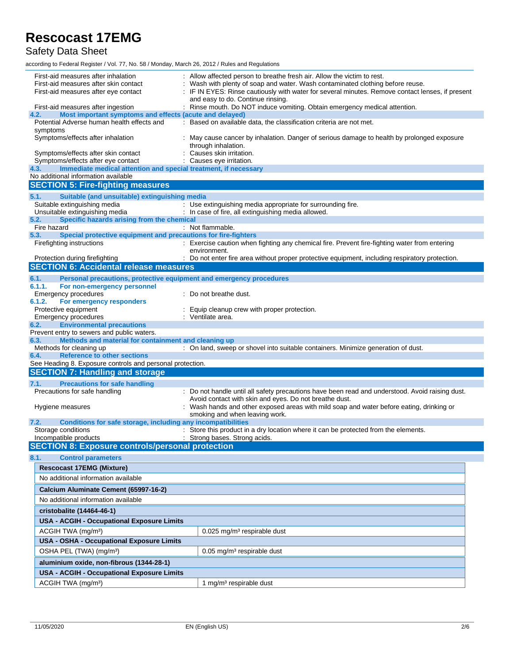### Safety Data Sheet

according to Federal Register / Vol. 77, No. 58 / Monday, March 26, 2012 / Rules and Regulations

| First-aid measures after inhalation<br>First-aid measures after skin contact<br>First-aid measures after eye contact | : Allow affected person to breathe fresh air. Allow the victim to rest.<br>Wash with plenty of soap and water. Wash contaminated clothing before reuse.<br>: IF IN EYES: Rinse cautiously with water for several minutes. Remove contact lenses, if present<br>and easy to do. Continue rinsing. |  |
|----------------------------------------------------------------------------------------------------------------------|--------------------------------------------------------------------------------------------------------------------------------------------------------------------------------------------------------------------------------------------------------------------------------------------------|--|
| First-aid measures after ingestion                                                                                   | : Rinse mouth. Do NOT induce vomiting. Obtain emergency medical attention.                                                                                                                                                                                                                       |  |
| Most important symptoms and effects (acute and delayed)<br>4.2.                                                      |                                                                                                                                                                                                                                                                                                  |  |
| Potential Adverse human health effects and<br>symptoms                                                               | : Based on available data, the classification criteria are not met.                                                                                                                                                                                                                              |  |
| Symptoms/effects after inhalation                                                                                    | : May cause cancer by inhalation. Danger of serious damage to health by prolonged exposure<br>through inhalation.                                                                                                                                                                                |  |
| Symptoms/effects after skin contact                                                                                  | Causes skin irritation.                                                                                                                                                                                                                                                                          |  |
| Symptoms/effects after eye contact                                                                                   | : Causes eye irritation.                                                                                                                                                                                                                                                                         |  |
| Immediate medical attention and special treatment, if necessary<br>4.3.<br>No additional information available       |                                                                                                                                                                                                                                                                                                  |  |
| <b>SECTION 5: Fire-fighting measures</b>                                                                             |                                                                                                                                                                                                                                                                                                  |  |
| 5.1.<br>Suitable (and unsuitable) extinguishing media                                                                |                                                                                                                                                                                                                                                                                                  |  |
| Suitable extinguishing media                                                                                         | : Use extinguishing media appropriate for surrounding fire.                                                                                                                                                                                                                                      |  |
| Unsuitable extinguishing media                                                                                       | : In case of fire, all extinguishing media allowed.                                                                                                                                                                                                                                              |  |
| Specific hazards arising from the chemical<br>5.2.<br>Fire hazard                                                    | : Not flammable.                                                                                                                                                                                                                                                                                 |  |
| Special protective equipment and precautions for fire-fighters<br>5.3.                                               |                                                                                                                                                                                                                                                                                                  |  |
| Firefighting instructions                                                                                            | : Exercise caution when fighting any chemical fire. Prevent fire-fighting water from entering                                                                                                                                                                                                    |  |
|                                                                                                                      | environment.                                                                                                                                                                                                                                                                                     |  |
| Protection during firefighting<br><b>SECTION 6: Accidental release measures</b>                                      | : Do not enter fire area without proper protective equipment, including respiratory protection.                                                                                                                                                                                                  |  |
|                                                                                                                      |                                                                                                                                                                                                                                                                                                  |  |
| 6.1.<br>Personal precautions, protective equipment and emergency procedures<br>6.1.1.<br>For non-emergency personnel |                                                                                                                                                                                                                                                                                                  |  |
| Emergency procedures                                                                                                 | : Do not breathe dust.                                                                                                                                                                                                                                                                           |  |
| 6.1.2.<br>For emergency responders                                                                                   |                                                                                                                                                                                                                                                                                                  |  |
| Protective equipment                                                                                                 | Equip cleanup crew with proper protection.                                                                                                                                                                                                                                                       |  |
| <b>Emergency procedures</b><br><b>Environmental precautions</b><br>6.2.                                              | : Ventilate area.                                                                                                                                                                                                                                                                                |  |
| Prevent entry to sewers and public waters.                                                                           |                                                                                                                                                                                                                                                                                                  |  |
| Methods and material for containment and cleaning up<br>6.3.                                                         |                                                                                                                                                                                                                                                                                                  |  |
| Methods for cleaning up                                                                                              | : On land, sweep or shovel into suitable containers. Minimize generation of dust.                                                                                                                                                                                                                |  |
| <b>Reference to other sections</b><br>6.4.                                                                           |                                                                                                                                                                                                                                                                                                  |  |
| See Heading 8. Exposure controls and personal protection.<br><b>SECTION 7: Handling and storage</b>                  |                                                                                                                                                                                                                                                                                                  |  |
|                                                                                                                      |                                                                                                                                                                                                                                                                                                  |  |
| 7.1.<br><b>Precautions for safe handling</b><br>Precautions for safe handling                                        | : Do not handle until all safety precautions have been read and understood. Avoid raising dust.                                                                                                                                                                                                  |  |
|                                                                                                                      | Avoid contact with skin and eyes. Do not breathe dust.                                                                                                                                                                                                                                           |  |
| Hygiene measures                                                                                                     | : Wash hands and other exposed areas with mild soap and water before eating, drinking or                                                                                                                                                                                                         |  |
|                                                                                                                      | smoking and when leaving work.                                                                                                                                                                                                                                                                   |  |
| Conditions for safe storage, including any incompatibilities<br>7.2.<br>Storage conditions                           | : Store this product in a dry location where it can be protected from the elements.                                                                                                                                                                                                              |  |
| Incompatible products                                                                                                | : Strong bases. Strong acids.                                                                                                                                                                                                                                                                    |  |
| <b>SECTION 8: Exposure controls/personal protection</b>                                                              |                                                                                                                                                                                                                                                                                                  |  |
| 8.1.<br><b>Control parameters</b>                                                                                    |                                                                                                                                                                                                                                                                                                  |  |
| <b>Rescocast 17EMG (Mixture)</b>                                                                                     |                                                                                                                                                                                                                                                                                                  |  |
| No additional information available                                                                                  |                                                                                                                                                                                                                                                                                                  |  |
| Calcium Aluminate Cement (65997-16-2)                                                                                |                                                                                                                                                                                                                                                                                                  |  |
| No additional information available                                                                                  |                                                                                                                                                                                                                                                                                                  |  |
|                                                                                                                      |                                                                                                                                                                                                                                                                                                  |  |
| cristobalite (14464-46-1)<br>USA - ACGIH - Occupational Exposure Limits                                              |                                                                                                                                                                                                                                                                                                  |  |
|                                                                                                                      |                                                                                                                                                                                                                                                                                                  |  |
| ACGIH TWA (mg/m <sup>3</sup> )                                                                                       | $0.025$ mg/m <sup>3</sup> respirable dust                                                                                                                                                                                                                                                        |  |
| USA - OSHA - Occupational Exposure Limits                                                                            |                                                                                                                                                                                                                                                                                                  |  |
| OSHA PEL (TWA) (mg/m <sup>3</sup> )                                                                                  | 0.05 mg/m <sup>3</sup> respirable dust                                                                                                                                                                                                                                                           |  |
| aluminium oxide, non-fibrous (1344-28-1)                                                                             |                                                                                                                                                                                                                                                                                                  |  |
| USA - ACGIH - Occupational Exposure Limits                                                                           |                                                                                                                                                                                                                                                                                                  |  |
| ACGIH TWA (mg/m <sup>3</sup> )                                                                                       | 1 mg/m <sup>3</sup> respirable dust                                                                                                                                                                                                                                                              |  |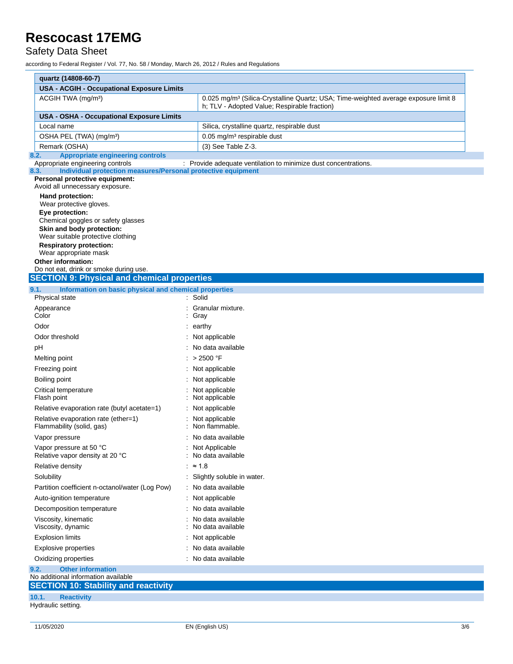### Safety Data Sheet

according to Federal Register / Vol. 77, No. 58 / Monday, March 26, 2012 / Rules and Regulations

| quartz (14808-60-7)                                                                 |                                                                                                 |  |  |  |
|-------------------------------------------------------------------------------------|-------------------------------------------------------------------------------------------------|--|--|--|
| USA - ACGIH - Occupational Exposure Limits                                          |                                                                                                 |  |  |  |
| ACGIH TWA (mg/m <sup>3</sup> )                                                      | 0.025 mg/m <sup>3</sup> (Silica-Crystalline Quartz; USA; Time-weighted average exposure limit 8 |  |  |  |
|                                                                                     | h; TLV - Adopted Value; Respirable fraction)                                                    |  |  |  |
| USA - OSHA - Occupational Exposure Limits                                           |                                                                                                 |  |  |  |
| Local name                                                                          | Silica, crystalline quartz, respirable dust                                                     |  |  |  |
| OSHA PEL (TWA) (mg/m <sup>3</sup> )                                                 | 0.05 mg/m <sup>3</sup> respirable dust                                                          |  |  |  |
| Remark (OSHA)                                                                       | $(3)$ See Table Z-3.                                                                            |  |  |  |
| <b>Appropriate engineering controls</b><br>8.2.<br>Appropriate engineering controls | : Provide adequate ventilation to minimize dust concentrations.                                 |  |  |  |
| Individual protection measures/Personal protective equipment<br>8.3.                |                                                                                                 |  |  |  |
| Personal protective equipment:                                                      |                                                                                                 |  |  |  |
| Avoid all unnecessary exposure.                                                     |                                                                                                 |  |  |  |
| Hand protection:<br>Wear protective gloves.                                         |                                                                                                 |  |  |  |
| Eye protection:                                                                     |                                                                                                 |  |  |  |
| Chemical goggles or safety glasses                                                  |                                                                                                 |  |  |  |
| Skin and body protection:<br>Wear suitable protective clothing                      |                                                                                                 |  |  |  |
| <b>Respiratory protection:</b>                                                      |                                                                                                 |  |  |  |
| Wear appropriate mask                                                               |                                                                                                 |  |  |  |
| <b>Other information:</b><br>Do not eat, drink or smoke during use.                 |                                                                                                 |  |  |  |
| <b>SECTION 9: Physical and chemical properties</b>                                  |                                                                                                 |  |  |  |
| Information on basic physical and chemical properties<br>9.1.                       |                                                                                                 |  |  |  |
| Physical state                                                                      | : Solid                                                                                         |  |  |  |
| Appearance                                                                          | Granular mixture.                                                                               |  |  |  |
| Color                                                                               | Gray                                                                                            |  |  |  |
| Odor                                                                                | $:$ earthy                                                                                      |  |  |  |
| Odor threshold                                                                      | Not applicable                                                                                  |  |  |  |
| рH                                                                                  | No data available                                                                               |  |  |  |
| Melting point                                                                       | : $>$ 2500 °F                                                                                   |  |  |  |
| Freezing point                                                                      | Not applicable                                                                                  |  |  |  |
| Boiling point                                                                       | Not applicable                                                                                  |  |  |  |
| Critical temperature<br>Flash point                                                 | Not applicable<br>Not applicable                                                                |  |  |  |
| Relative evaporation rate (butyl acetate=1)                                         | Not applicable                                                                                  |  |  |  |
| Relative evaporation rate (ether=1)<br>Flammability (solid, gas)                    | Not applicable<br>Non flammable.                                                                |  |  |  |
| Vapor pressure                                                                      | No data available                                                                               |  |  |  |
| Vapor pressure at 50 °C<br>Relative vapor density at 20 °C                          | Not Applicable<br>No data available                                                             |  |  |  |
| Relative density                                                                    | : $\approx 1.8$                                                                                 |  |  |  |
| Solubility                                                                          | : Slightly soluble in water.                                                                    |  |  |  |
| Partition coefficient n-octanol/water (Log Pow)                                     | No data available                                                                               |  |  |  |
| Auto-ignition temperature                                                           | Not applicable                                                                                  |  |  |  |
| Decomposition temperature                                                           | No data available                                                                               |  |  |  |
| Viscosity, kinematic                                                                | No data available                                                                               |  |  |  |
| Viscosity, dynamic                                                                  | No data available                                                                               |  |  |  |
| <b>Explosion limits</b>                                                             | Not applicable                                                                                  |  |  |  |
| <b>Explosive properties</b>                                                         | No data available                                                                               |  |  |  |
| Oxidizing properties                                                                | No data available                                                                               |  |  |  |
| <b>Other information</b><br>9.2.                                                    |                                                                                                 |  |  |  |
| No additional information available<br><b>SECTION 10: Stability and reactivity</b>  |                                                                                                 |  |  |  |
| 10.1.<br><b>Reactivity</b>                                                          |                                                                                                 |  |  |  |

Hydraulic setting.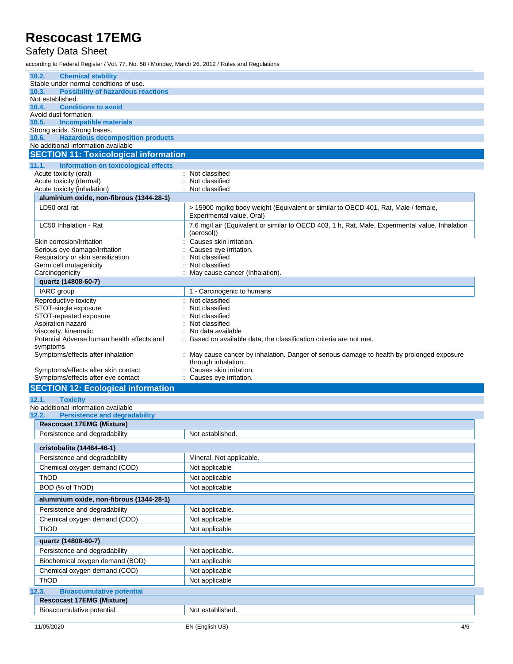### Safety Data Sheet

according to Federal Register / Vol. 77, No. 58 / Monday, March 26, 2012 / Rules and Regulations

| 10.2.<br><b>Chemical stability</b>                           |                                                                                                                   |  |  |
|--------------------------------------------------------------|-------------------------------------------------------------------------------------------------------------------|--|--|
| Stable under normal conditions of use.                       |                                                                                                                   |  |  |
| 10.3.<br><b>Possibility of hazardous reactions</b>           |                                                                                                                   |  |  |
| Not established.                                             |                                                                                                                   |  |  |
| <b>Conditions to avoid</b><br>10.4.<br>Avoid dust formation. |                                                                                                                   |  |  |
| 10.5.<br><b>Incompatible materials</b>                       |                                                                                                                   |  |  |
| Strong acids. Strong bases.                                  |                                                                                                                   |  |  |
| <b>Hazardous decomposition products</b><br>10.6.             |                                                                                                                   |  |  |
| No additional information available                          |                                                                                                                   |  |  |
| <b>SECTION 11: Toxicological information</b>                 |                                                                                                                   |  |  |
| 11.1.<br>Information on toxicological effects                |                                                                                                                   |  |  |
| Acute toxicity (oral)                                        | : Not classified                                                                                                  |  |  |
| Acute toxicity (dermal)<br>Acute toxicity (inhalation)       | Not classified<br>Not classified                                                                                  |  |  |
| aluminium oxide, non-fibrous (1344-28-1)                     |                                                                                                                   |  |  |
| LD50 oral rat                                                | > 15900 mg/kg body weight (Equivalent or similar to OECD 401, Rat, Male / female,                                 |  |  |
|                                                              | Experimental value, Oral)                                                                                         |  |  |
| LC50 Inhalation - Rat                                        | 7.6 mg/l air (Equivalent or similar to OECD 403, 1 h, Rat, Male, Experimental value, Inhalation                   |  |  |
|                                                              | (aerosol))                                                                                                        |  |  |
| Skin corrosion/irritation                                    | Causes skin irritation.                                                                                           |  |  |
| Serious eye damage/irritation                                | Causes eye irritation.                                                                                            |  |  |
| Respiratory or skin sensitization                            | Not classified                                                                                                    |  |  |
| Germ cell mutagenicity<br>Carcinogenicity                    | Not classified                                                                                                    |  |  |
| quartz (14808-60-7)                                          | May cause cancer (Inhalation).                                                                                    |  |  |
|                                                              |                                                                                                                   |  |  |
| IARC group                                                   | 1 - Carcinogenic to humans<br>Not classified                                                                      |  |  |
| Reproductive toxicity<br>STOT-single exposure                | Not classified                                                                                                    |  |  |
| STOT-repeated exposure                                       | Not classified                                                                                                    |  |  |
| Aspiration hazard                                            | Not classified                                                                                                    |  |  |
| Viscosity, kinematic                                         | No data available                                                                                                 |  |  |
| Potential Adverse human health effects and                   | Based on available data, the classification criteria are not met.                                                 |  |  |
| symptoms                                                     |                                                                                                                   |  |  |
| Symptoms/effects after inhalation                            | : May cause cancer by inhalation. Danger of serious damage to health by prolonged exposure<br>through inhalation. |  |  |
| Symptoms/effects after skin contact                          | Causes skin irritation.                                                                                           |  |  |
| Symptoms/effects after eye contact                           | Causes eye irritation.                                                                                            |  |  |
| <b>SECTION 12: Ecological information</b>                    |                                                                                                                   |  |  |
| 12.1.<br><b>Toxicity</b>                                     |                                                                                                                   |  |  |
| No additional information available                          |                                                                                                                   |  |  |
| 12.2.<br><b>Persistence and degradability</b>                |                                                                                                                   |  |  |
| <b>Rescocast 17EMG (Mixture)</b>                             |                                                                                                                   |  |  |
| Persistence and degradability                                | Not established.                                                                                                  |  |  |
| cristobalite (14464-46-1)                                    |                                                                                                                   |  |  |
|                                                              |                                                                                                                   |  |  |
| Persistence and degradability                                | Mineral. Not applicable.                                                                                          |  |  |
| Chemical oxygen demand (COD)                                 | Not applicable                                                                                                    |  |  |
| ThOD                                                         | Not applicable                                                                                                    |  |  |
| BOD (% of ThOD)                                              | Not applicable                                                                                                    |  |  |
| aluminium oxide, non-fibrous (1344-28-1)                     |                                                                                                                   |  |  |
| Persistence and degradability                                | Not applicable.                                                                                                   |  |  |
| Chemical oxygen demand (COD)                                 | Not applicable                                                                                                    |  |  |
| ThOD                                                         | Not applicable                                                                                                    |  |  |
|                                                              |                                                                                                                   |  |  |
| quartz (14808-60-7)<br>Persistence and degradability         |                                                                                                                   |  |  |
|                                                              | Not applicable.                                                                                                   |  |  |
| Biochemical oxygen demand (BOD)                              | Not applicable                                                                                                    |  |  |
| Chemical oxygen demand (COD)                                 | Not applicable                                                                                                    |  |  |
| ThOD<br>Not applicable                                       |                                                                                                                   |  |  |
| 12.3.<br><b>Bioaccumulative potential</b>                    |                                                                                                                   |  |  |
| <b>Rescocast 17EMG (Mixture)</b>                             |                                                                                                                   |  |  |
|                                                              |                                                                                                                   |  |  |
| Bioaccumulative potential                                    | Not established.                                                                                                  |  |  |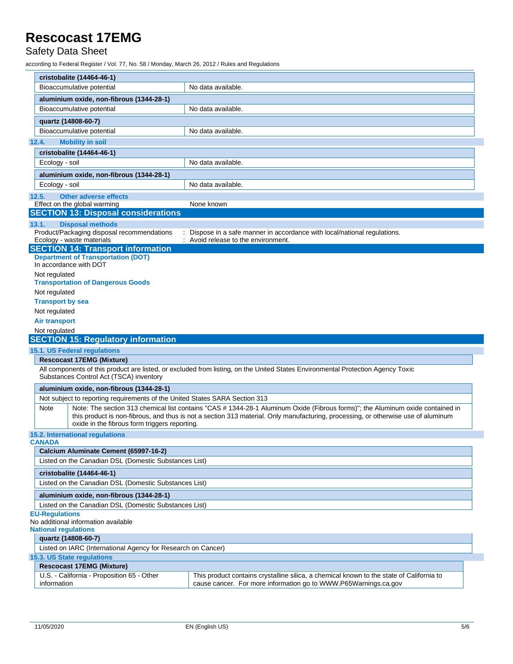### Safety Data Sheet

according to Federal Register / Vol. 77, No. 58 / Monday, March 26, 2012 / Rules and Regulations

| cristobalite (14464-46-1)                                                                                                                                                                                                                                                                              |                                                                                                                                                                                                                                                                     |  |  |
|--------------------------------------------------------------------------------------------------------------------------------------------------------------------------------------------------------------------------------------------------------------------------------------------------------|---------------------------------------------------------------------------------------------------------------------------------------------------------------------------------------------------------------------------------------------------------------------|--|--|
| Bioaccumulative potential                                                                                                                                                                                                                                                                              | No data available.                                                                                                                                                                                                                                                  |  |  |
| aluminium oxide, non-fibrous (1344-28-1)                                                                                                                                                                                                                                                               |                                                                                                                                                                                                                                                                     |  |  |
| Bioaccumulative potential                                                                                                                                                                                                                                                                              | No data available.                                                                                                                                                                                                                                                  |  |  |
| quartz (14808-60-7)                                                                                                                                                                                                                                                                                    |                                                                                                                                                                                                                                                                     |  |  |
| Bioaccumulative potential                                                                                                                                                                                                                                                                              | No data available.                                                                                                                                                                                                                                                  |  |  |
| 12.4.<br><b>Mobility in soil</b>                                                                                                                                                                                                                                                                       |                                                                                                                                                                                                                                                                     |  |  |
| cristobalite (14464-46-1)                                                                                                                                                                                                                                                                              |                                                                                                                                                                                                                                                                     |  |  |
| Ecology - soil                                                                                                                                                                                                                                                                                         | No data available.                                                                                                                                                                                                                                                  |  |  |
|                                                                                                                                                                                                                                                                                                        |                                                                                                                                                                                                                                                                     |  |  |
| aluminium oxide, non-fibrous (1344-28-1)                                                                                                                                                                                                                                                               | No data available.                                                                                                                                                                                                                                                  |  |  |
| Ecology - soil                                                                                                                                                                                                                                                                                         |                                                                                                                                                                                                                                                                     |  |  |
| <b>Other adverse effects</b><br>12.5.<br>Effect on the global warming                                                                                                                                                                                                                                  | None known                                                                                                                                                                                                                                                          |  |  |
| <b>SECTION 13: Disposal considerations</b>                                                                                                                                                                                                                                                             |                                                                                                                                                                                                                                                                     |  |  |
| <b>Disposal methods</b>                                                                                                                                                                                                                                                                                |                                                                                                                                                                                                                                                                     |  |  |
| 13.1.<br>Product/Packaging disposal recommendations                                                                                                                                                                                                                                                    | Dispose in a safe manner in accordance with local/national regulations.                                                                                                                                                                                             |  |  |
| Ecology - waste materials                                                                                                                                                                                                                                                                              | Avoid release to the environment.                                                                                                                                                                                                                                   |  |  |
| <b>SECTION 14: Transport information</b>                                                                                                                                                                                                                                                               |                                                                                                                                                                                                                                                                     |  |  |
| <b>Department of Transportation (DOT)</b><br>In accordance with DOT                                                                                                                                                                                                                                    |                                                                                                                                                                                                                                                                     |  |  |
|                                                                                                                                                                                                                                                                                                        |                                                                                                                                                                                                                                                                     |  |  |
| Not regulated<br><b>Transportation of Dangerous Goods</b>                                                                                                                                                                                                                                              |                                                                                                                                                                                                                                                                     |  |  |
| Not regulated                                                                                                                                                                                                                                                                                          |                                                                                                                                                                                                                                                                     |  |  |
| <b>Transport by sea</b>                                                                                                                                                                                                                                                                                |                                                                                                                                                                                                                                                                     |  |  |
| Not regulated                                                                                                                                                                                                                                                                                          |                                                                                                                                                                                                                                                                     |  |  |
| <b>Air transport</b>                                                                                                                                                                                                                                                                                   |                                                                                                                                                                                                                                                                     |  |  |
| Not regulated                                                                                                                                                                                                                                                                                          |                                                                                                                                                                                                                                                                     |  |  |
| <b>SECTION 15: Regulatory information</b>                                                                                                                                                                                                                                                              |                                                                                                                                                                                                                                                                     |  |  |
|                                                                                                                                                                                                                                                                                                        |                                                                                                                                                                                                                                                                     |  |  |
|                                                                                                                                                                                                                                                                                                        |                                                                                                                                                                                                                                                                     |  |  |
| <b>Rescocast 17EMG (Mixture)</b>                                                                                                                                                                                                                                                                       |                                                                                                                                                                                                                                                                     |  |  |
| Substances Control Act (TSCA) inventory                                                                                                                                                                                                                                                                | All components of this product are listed, or excluded from listing, on the United States Environmental Protection Agency Toxic                                                                                                                                     |  |  |
| aluminium oxide, non-fibrous (1344-28-1)                                                                                                                                                                                                                                                               |                                                                                                                                                                                                                                                                     |  |  |
| Not subject to reporting requirements of the United States SARA Section 313                                                                                                                                                                                                                            |                                                                                                                                                                                                                                                                     |  |  |
| Note<br>oxide in the fibrous form triggers reporting.                                                                                                                                                                                                                                                  | Note: The section 313 chemical list contains "CAS # 1344-28-1 Aluminum Oxide (Fibrous forms)"; the Aluminum oxide contained in<br>this product is non-fibrous, and thus is not a section 313 material. Only manufacturing, processing, or otherwise use of aluminum |  |  |
|                                                                                                                                                                                                                                                                                                        |                                                                                                                                                                                                                                                                     |  |  |
| Calcium Aluminate Cement (65997-16-2)                                                                                                                                                                                                                                                                  |                                                                                                                                                                                                                                                                     |  |  |
| Listed on the Canadian DSL (Domestic Substances List)                                                                                                                                                                                                                                                  |                                                                                                                                                                                                                                                                     |  |  |
| cristobalite (14464-46-1)                                                                                                                                                                                                                                                                              |                                                                                                                                                                                                                                                                     |  |  |
| Listed on the Canadian DSL (Domestic Substances List)                                                                                                                                                                                                                                                  |                                                                                                                                                                                                                                                                     |  |  |
|                                                                                                                                                                                                                                                                                                        |                                                                                                                                                                                                                                                                     |  |  |
| aluminium oxide, non-fibrous (1344-28-1)<br>Listed on the Canadian DSL (Domestic Substances List)                                                                                                                                                                                                      |                                                                                                                                                                                                                                                                     |  |  |
|                                                                                                                                                                                                                                                                                                        |                                                                                                                                                                                                                                                                     |  |  |
| quartz (14808-60-7)                                                                                                                                                                                                                                                                                    |                                                                                                                                                                                                                                                                     |  |  |
| Listed on IARC (International Agency for Research on Cancer)                                                                                                                                                                                                                                           |                                                                                                                                                                                                                                                                     |  |  |
|                                                                                                                                                                                                                                                                                                        |                                                                                                                                                                                                                                                                     |  |  |
| 15.1. US Federal regulations<br><b>15.2. International requlations</b><br><b>CANADA</b><br><b>EU-Regulations</b><br>No additional information available<br><b>National regulations</b><br>15.3. US State regulations<br><b>Rescocast 17EMG (Mixture)</b><br>U.S. - California - Proposition 65 - Other | This product contains crystalline silica, a chemical known to the state of California to                                                                                                                                                                            |  |  |